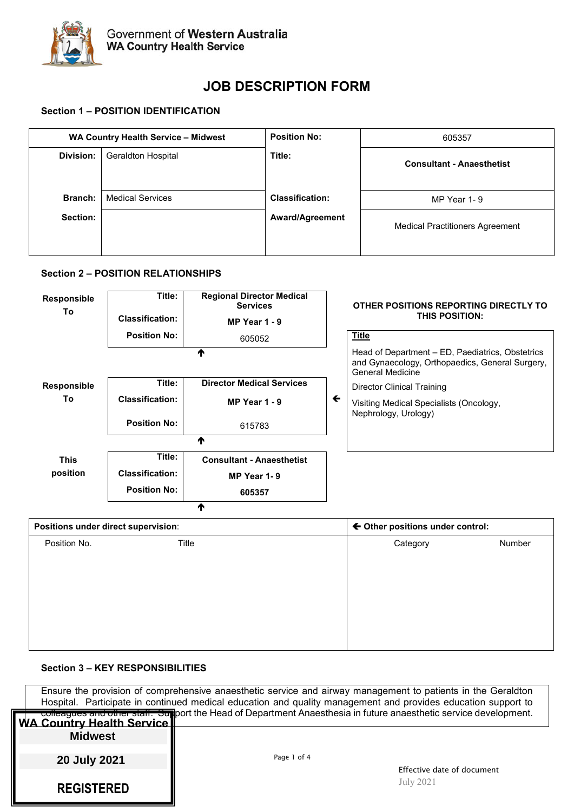

# **JOB DESCRIPTION FORM**

# **Section 1 – POSITION IDENTIFICATION**

| WA Country Health Service - Midwest |                           | <b>Position No:</b>                    | 605357                           |  |
|-------------------------------------|---------------------------|----------------------------------------|----------------------------------|--|
| Division:                           | <b>Geraldton Hospital</b> | Title:                                 | <b>Consultant - Anaesthetist</b> |  |
| Branch:                             | <b>Medical Services</b>   | <b>Classification:</b>                 | MP Year 1-9                      |  |
| Section:                            | <b>Award/Agreement</b>    | <b>Medical Practitioners Agreement</b> |                                  |  |

# **Section 2 – POSITION RELATIONSHIPS**

| Responsible<br>To | Title:<br><b>Classification:</b>    | <b>Regional Director Medical</b><br><b>Services</b><br>MP Year 1 - 9 |              | OTHER POSITIONS REPORTING DIRECTLY TO<br>THIS POSITION:                                                                        |        |
|-------------------|-------------------------------------|----------------------------------------------------------------------|--------------|--------------------------------------------------------------------------------------------------------------------------------|--------|
|                   | <b>Position No:</b>                 | 605052                                                               |              | <b>Title</b>                                                                                                                   |        |
|                   |                                     | ₳                                                                    |              | Head of Department - ED, Paediatrics, Obstetrics<br>and Gynaecology, Orthopaedics, General Surgery,<br><b>General Medicine</b> |        |
| Responsible       | Title:                              | <b>Director Medical Services</b>                                     |              | <b>Director Clinical Training</b>                                                                                              |        |
| To                | <b>Classification:</b>              | MP Year 1 - 9                                                        | $\leftarrow$ | Visiting Medical Specialists (Oncology,<br>Nephrology, Urology)                                                                |        |
|                   | <b>Position No:</b>                 | 615783                                                               |              |                                                                                                                                |        |
|                   |                                     | ↑                                                                    |              |                                                                                                                                |        |
| <b>This</b>       | Title:                              | <b>Consultant - Anaesthetist</b>                                     |              |                                                                                                                                |        |
| position          | <b>Classification:</b>              | MP Year 1-9                                                          |              |                                                                                                                                |        |
|                   | <b>Position No:</b>                 | 605357                                                               |              |                                                                                                                                |        |
|                   |                                     | ₼                                                                    |              |                                                                                                                                |        |
|                   | Positions under direct supervision: |                                                                      |              | ← Other positions under control:                                                                                               |        |
| Position No.      | Title                               |                                                                      |              | Category                                                                                                                       | Number |
|                   |                                     |                                                                      |              |                                                                                                                                |        |
|                   |                                     |                                                                      |              |                                                                                                                                |        |
|                   |                                     |                                                                      |              |                                                                                                                                |        |
|                   |                                     |                                                                      |              |                                                                                                                                |        |
|                   |                                     |                                                                      |              |                                                                                                                                |        |
|                   |                                     |                                                                      |              |                                                                                                                                |        |

# **Section 3 – KEY RESPONSIBILITIES**

| Ensure the provision of comprehensive anaesthetic service and airway management to patients in the Geraldton<br>Hospital. Participate in continued medical education and quality management and provides education support to |                                                                                                                   |  |  |
|-------------------------------------------------------------------------------------------------------------------------------------------------------------------------------------------------------------------------------|-------------------------------------------------------------------------------------------------------------------|--|--|
| WA Country Health Service                                                                                                                                                                                                     | colleagues and other staff. Support the Head of Department Anaesthesia in future anaesthetic service development. |  |  |
| <b>Midwest</b>                                                                                                                                                                                                                |                                                                                                                   |  |  |
| 20 July 2021                                                                                                                                                                                                                  | Page 1 of 4                                                                                                       |  |  |
| <b>REGISTERED</b>                                                                                                                                                                                                             | Effective date of document<br>July 2021                                                                           |  |  |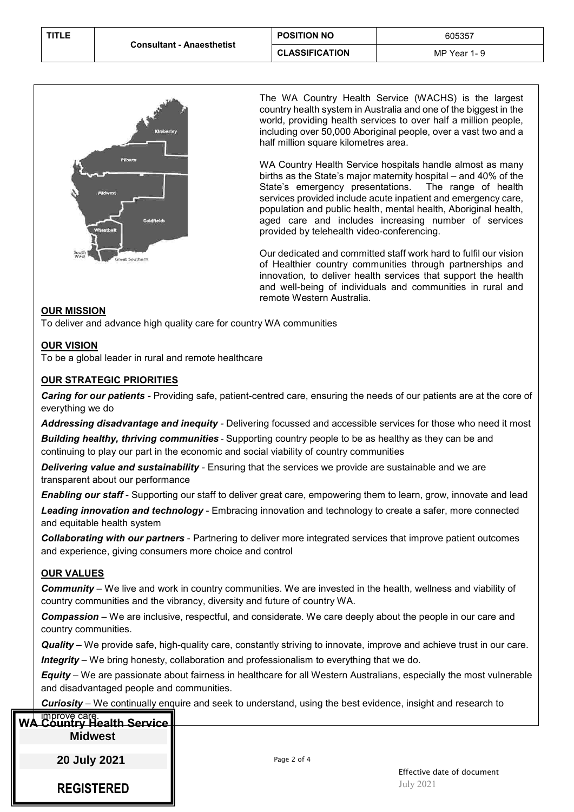

The WA Country Health Service (WACHS) is the largest country health system in Australia and one of the biggest in the world, providing health services to over half a million people, including over 50,000 Aboriginal people, over a vast two and a half million square kilometres area.

WA Country Health Service hospitals handle almost as many births as the State's major maternity hospital – and 40% of the State's emergency presentations. The range of health services provided include acute inpatient and emergency care, population and public health, mental health, Aboriginal health, aged care and includes increasing number of services provided by telehealth video-conferencing.

Our dedicated and committed staff work hard to fulfil our vision of Healthier country communities through partnerships and innovation*,* to deliver health services that support the health and well-being of individuals and communities in rural and remote Western Australia.

# **OUR MISSION**

To deliver and advance high quality care for country WA communities

# **OUR VISION**

To be a global leader in rural and remote healthcare

# **OUR STRATEGIC PRIORITIES**

*Caring for our patients -* Providing safe, patient-centred care, ensuring the needs of our patients are at the core of everything we do

*Addressing disadvantage and inequity -* Delivering focussed and accessible services for those who need it most *Building healthy, thriving communities* - Supporting country people to be as healthy as they can be and continuing to play our part in the economic and social viability of country communities

*Delivering value and sustainability -* Ensuring that the services we provide are sustainable and we are transparent about our performance

*Enabling our staff* - Supporting our staff to deliver great care, empowering them to learn, grow, innovate and lead

*Leading innovation and technology* - Embracing innovation and technology to create a safer, more connected and equitable health system

*Collaborating with our partners* - Partnering to deliver more integrated services that improve patient outcomes and experience, giving consumers more choice and control

#### **OUR VALUES**

*Community* – We live and work in country communities. We are invested in the health, wellness and viability of country communities and the vibrancy, diversity and future of country WA.

*Compassion* – We are inclusive, respectful, and considerate. We care deeply about the people in our care and country communities.

*Quality* – We provide safe, high-quality care, constantly striving to innovate, improve and achieve trust in our care. *Integrity* – We bring honesty, collaboration and professionalism to everything that we do.

*Equity* – We are passionate about fairness in healthcare for all Western Australians, especially the most vulnerable and disadvantaged people and communities.

*Curiosity* – We continually enquire and seek to understand, using the best evidence, insight and research to

| <b>WA</b> | <b>improve care.</b><br>Country Health Service |             |                                                |
|-----------|------------------------------------------------|-------------|------------------------------------------------|
|           | <b>Midwest</b>                                 |             |                                                |
|           | 20 July 2021                                   | Page 2 of 4 |                                                |
|           | <b>REGISTERED</b>                              |             | Effective date of document<br><b>July 2021</b> |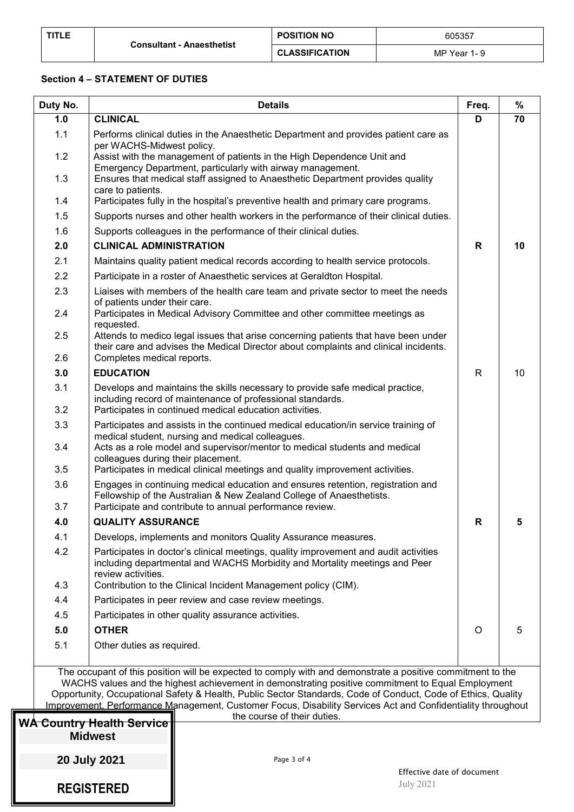| TITLE |                                  | <b>POSITION NO</b>    | 605357           |
|-------|----------------------------------|-----------------------|------------------|
|       | <b>Consultant - Anaesthetist</b> | <b>CLASSIFICATION</b> | MP Year 1<br>ı – |

# **Section 4 – STATEMENT OF DUTIES**

| Duty No.   | <b>Details</b>                                                                                                                                                                                                                                                                                                                                                                                                                                 | Freq. | $\%$ |
|------------|------------------------------------------------------------------------------------------------------------------------------------------------------------------------------------------------------------------------------------------------------------------------------------------------------------------------------------------------------------------------------------------------------------------------------------------------|-------|------|
| 1.0        | <b>CLINICAL</b>                                                                                                                                                                                                                                                                                                                                                                                                                                | D     | 70   |
| 1.1        | Performs clinical duties in the Anaesthetic Department and provides patient care as<br>per WACHS-Midwest policy.                                                                                                                                                                                                                                                                                                                               |       |      |
| 1.2        | Assist with the management of patients in the High Dependence Unit and<br>Emergency Department, particularly with airway management.                                                                                                                                                                                                                                                                                                           |       |      |
| 1.3        | Ensures that medical staff assigned to Anaesthetic Department provides quality<br>care to patients.                                                                                                                                                                                                                                                                                                                                            |       |      |
| 1.4        | Participates fully in the hospital's preventive health and primary care programs.                                                                                                                                                                                                                                                                                                                                                              |       |      |
| 1.5        | Supports nurses and other health workers in the performance of their clinical duties.                                                                                                                                                                                                                                                                                                                                                          |       |      |
| 1.6        | Supports colleagues in the performance of their clinical duties.                                                                                                                                                                                                                                                                                                                                                                               |       |      |
| 2.0        | <b>CLINICAL ADMINISTRATION</b>                                                                                                                                                                                                                                                                                                                                                                                                                 | R     | 10   |
| 2.1        | Maintains quality patient medical records according to health service protocols.                                                                                                                                                                                                                                                                                                                                                               |       |      |
| 2.2        | Participate in a roster of Anaesthetic services at Geraldton Hospital.                                                                                                                                                                                                                                                                                                                                                                         |       |      |
| 2.3        | Liaises with members of the health care team and private sector to meet the needs<br>of patients under their care.                                                                                                                                                                                                                                                                                                                             |       |      |
| 2.4        | Participates in Medical Advisory Committee and other committee meetings as<br>requested.                                                                                                                                                                                                                                                                                                                                                       |       |      |
| 2.5<br>2.6 | Attends to medico legal issues that arise concerning patients that have been under<br>their care and advises the Medical Director about complaints and clinical incidents.<br>Completes medical reports.                                                                                                                                                                                                                                       |       |      |
| 3.0        | <b>EDUCATION</b>                                                                                                                                                                                                                                                                                                                                                                                                                               | R     | 10   |
| 3.1        | Develops and maintains the skills necessary to provide safe medical practice,                                                                                                                                                                                                                                                                                                                                                                  |       |      |
| 3.2        | including record of maintenance of professional standards.<br>Participates in continued medical education activities.                                                                                                                                                                                                                                                                                                                          |       |      |
| 3.3        | Participates and assists in the continued medical education/in service training of                                                                                                                                                                                                                                                                                                                                                             |       |      |
| 3.4        | medical student, nursing and medical colleagues.<br>Acts as a role model and supervisor/mentor to medical students and medical<br>colleagues during their placement.                                                                                                                                                                                                                                                                           |       |      |
| 3.5        | Participates in medical clinical meetings and quality improvement activities.                                                                                                                                                                                                                                                                                                                                                                  |       |      |
| 3.6<br>3.7 | Engages in continuing medical education and ensures retention, registration and<br>Fellowship of the Australian & New Zealand College of Anaesthetists.                                                                                                                                                                                                                                                                                        |       |      |
|            | Participate and contribute to annual performance review.<br><b>QUALITY ASSURANCE</b>                                                                                                                                                                                                                                                                                                                                                           |       |      |
| 4.0        |                                                                                                                                                                                                                                                                                                                                                                                                                                                | R     | 5    |
| 4.1<br>4.2 | Develops, implements and monitors Quality Assurance measures.<br>Participates in doctor's clinical meetings, quality improvement and audit activities<br>including departmental and WACHS Morbidity and Mortality meetings and Peer                                                                                                                                                                                                            |       |      |
| 4.3        | review activities.                                                                                                                                                                                                                                                                                                                                                                                                                             |       |      |
| 4.4        | Contribution to the Clinical Incident Management policy (CIM).                                                                                                                                                                                                                                                                                                                                                                                 |       |      |
|            | Participates in peer review and case review meetings.                                                                                                                                                                                                                                                                                                                                                                                          |       |      |
| 4.5        | Participates in other quality assurance activities.<br><b>OTHER</b>                                                                                                                                                                                                                                                                                                                                                                            |       |      |
| 5.0        |                                                                                                                                                                                                                                                                                                                                                                                                                                                | O     | 5    |
| 5.1        | Other duties as required.                                                                                                                                                                                                                                                                                                                                                                                                                      |       |      |
|            | The occupant of this position will be expected to comply with and demonstrate a positive commitment to the<br>WACHS values and the highest achievement in demonstrating positive commitment to Equal Employment<br>Opportunity, Occupational Safety & Health, Public Sector Standards, Code of Conduct, Code of Ethics, Quality<br>Improvement, Performance Management, Customer Focus, Disability Services Act and Confidentiality throughout |       |      |
|            | the course of their duties.                                                                                                                                                                                                                                                                                                                                                                                                                    |       |      |
|            | W <del>A Country Health Service </del><br><b>Midwest</b>                                                                                                                                                                                                                                                                                                                                                                                       |       |      |
|            | <b>20 July 2021</b><br>Page 3 of 4                                                                                                                                                                                                                                                                                                                                                                                                             |       |      |

**REGISTERED**